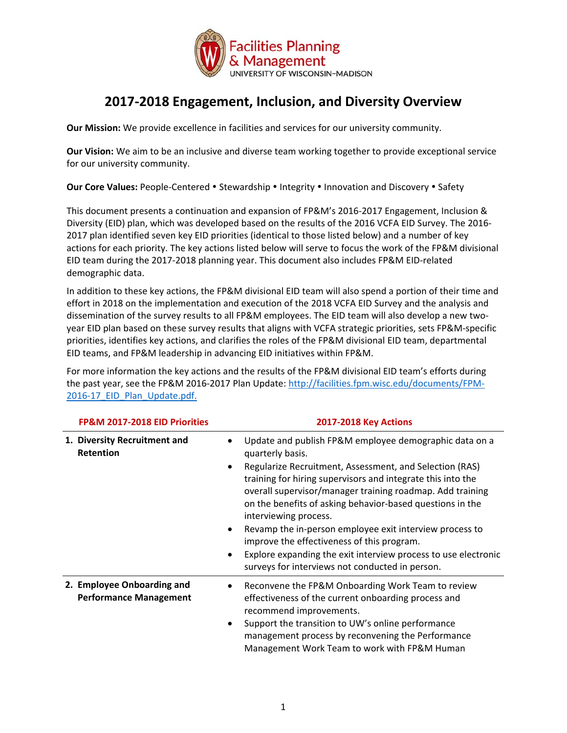

## **2017‐2018 Engagement, Inclusion, and Diversity Overview**

**Our Mission:** We provide excellence in facilities and services for our university community.

**Our Vision:** We aim to be an inclusive and diverse team working together to provide exceptional service for our university community.

**Our Core Values: People-Centered • Stewardship • Integrity • Innovation and Discovery • Safety** 

This document presents a continuation and expansion of FP&M's 2016‐2017 Engagement, Inclusion & Diversity (EID) plan, which was developed based on the results of the 2016 VCFA EID Survey. The 2016‐ 2017 plan identified seven key EID priorities (identical to those listed below) and a number of key actions for each priority. The key actions listed below will serve to focus the work of the FP&M divisional EID team during the 2017‐2018 planning year. This document also includes FP&M EID‐related demographic data.

In addition to these key actions, the FP&M divisional EID team will also spend a portion of their time and effort in 2018 on the implementation and execution of the 2018 VCFA EID Survey and the analysis and dissemination of the survey results to all FP&M employees. The EID team will also develop a new twoyear EID plan based on these survey results that aligns with VCFA strategic priorities, sets FP&M‐specific priorities, identifies key actions, and clarifies the roles of the FP&M divisional EID team, departmental EID teams, and FP&M leadership in advancing EID initiatives within FP&M.

For more information the key actions and the results of the FP&M divisional EID team's efforts during the past year, see the FP&M 2016‐2017 Plan Update: http://facilities.fpm.wisc.edu/documents/FPM‐ 2016-17 EID Plan Update.pdf.

| FP&M 2017-2018 EID Priorities                               | <b>2017-2018 Key Actions</b>                                                                                                                                                                                                                                                                                                                                                                                                                                                                                                                                                                                                      |  |  |  |  |  |
|-------------------------------------------------------------|-----------------------------------------------------------------------------------------------------------------------------------------------------------------------------------------------------------------------------------------------------------------------------------------------------------------------------------------------------------------------------------------------------------------------------------------------------------------------------------------------------------------------------------------------------------------------------------------------------------------------------------|--|--|--|--|--|
| 1. Diversity Recruitment and<br>Retention                   | Update and publish FP&M employee demographic data on a<br>$\bullet$<br>quarterly basis.<br>Regularize Recruitment, Assessment, and Selection (RAS)<br>٠<br>training for hiring supervisors and integrate this into the<br>overall supervisor/manager training roadmap. Add training<br>on the benefits of asking behavior-based questions in the<br>interviewing process.<br>Revamp the in-person employee exit interview process to<br>$\bullet$<br>improve the effectiveness of this program.<br>Explore expanding the exit interview process to use electronic<br>$\bullet$<br>surveys for interviews not conducted in person. |  |  |  |  |  |
| 2. Employee Onboarding and<br><b>Performance Management</b> | Reconvene the FP&M Onboarding Work Team to review<br>٠<br>effectiveness of the current onboarding process and<br>recommend improvements.<br>Support the transition to UW's online performance<br>٠<br>management process by reconvening the Performance<br>Management Work Team to work with FP&M Human                                                                                                                                                                                                                                                                                                                           |  |  |  |  |  |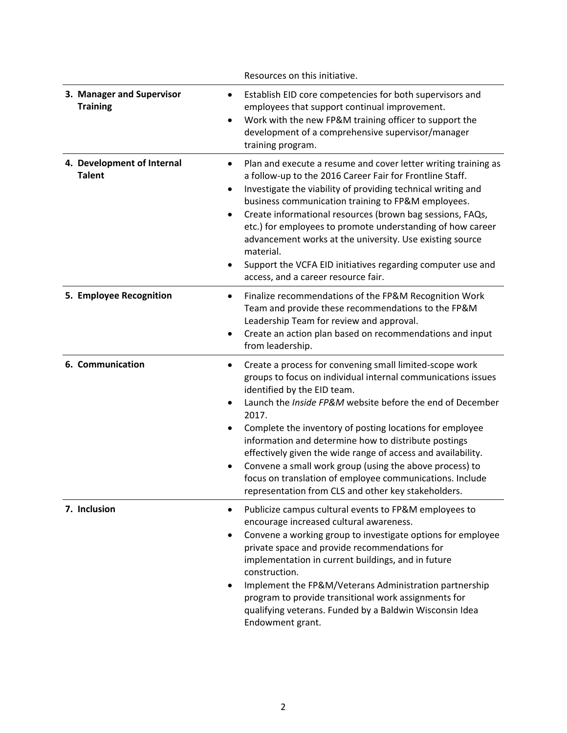|                                              | Resources on this initiative.                                                                                                                                                                                                                                                                                                                                                                                                                                                                                                                                                                                               |
|----------------------------------------------|-----------------------------------------------------------------------------------------------------------------------------------------------------------------------------------------------------------------------------------------------------------------------------------------------------------------------------------------------------------------------------------------------------------------------------------------------------------------------------------------------------------------------------------------------------------------------------------------------------------------------------|
| 3. Manager and Supervisor<br><b>Training</b> | Establish EID core competencies for both supervisors and<br>٠<br>employees that support continual improvement.<br>Work with the new FP&M training officer to support the<br>$\bullet$<br>development of a comprehensive supervisor/manager<br>training program.                                                                                                                                                                                                                                                                                                                                                             |
| 4. Development of Internal<br><b>Talent</b>  | Plan and execute a resume and cover letter writing training as<br>$\bullet$<br>a follow-up to the 2016 Career Fair for Frontline Staff.<br>Investigate the viability of providing technical writing and<br>٠<br>business communication training to FP&M employees.<br>Create informational resources (brown bag sessions, FAQs,<br>$\bullet$<br>etc.) for employees to promote understanding of how career<br>advancement works at the university. Use existing source<br>material.<br>Support the VCFA EID initiatives regarding computer use and<br>$\bullet$<br>access, and a career resource fair.                      |
| 5. Employee Recognition                      | Finalize recommendations of the FP&M Recognition Work<br>$\bullet$<br>Team and provide these recommendations to the FP&M<br>Leadership Team for review and approval.<br>Create an action plan based on recommendations and input<br>٠<br>from leadership.                                                                                                                                                                                                                                                                                                                                                                   |
| 6. Communication                             | Create a process for convening small limited-scope work<br>٠<br>groups to focus on individual internal communications issues<br>identified by the EID team.<br>Launch the <i>Inside FP&amp;M</i> website before the end of December<br>$\bullet$<br>2017.<br>Complete the inventory of posting locations for employee<br>information and determine how to distribute postings<br>effectively given the wide range of access and availability.<br>Convene a small work group (using the above process) to<br>focus on translation of employee communications. Include<br>representation from CLS and other key stakeholders. |
| 7. Inclusion                                 | Publicize campus cultural events to FP&M employees to<br>٠<br>encourage increased cultural awareness.<br>Convene a working group to investigate options for employee<br>٠<br>private space and provide recommendations for<br>implementation in current buildings, and in future<br>construction.<br>Implement the FP&M/Veterans Administration partnership<br>$\bullet$<br>program to provide transitional work assignments for<br>qualifying veterans. Funded by a Baldwin Wisconsin Idea<br>Endowment grant.                                                                                                             |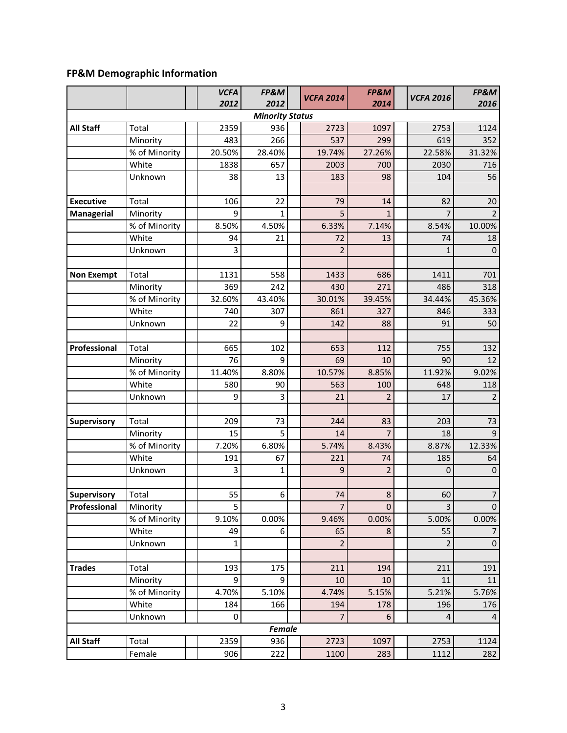## **FP&M Demographic Information**

|                    |                           | <b>VCFA</b><br>2012 | FP&M<br>2012           | <b>VCFA 2014</b> | FP&M<br>2014         | <b>VCFA 2016</b> | FP&M<br>2016     |
|--------------------|---------------------------|---------------------|------------------------|------------------|----------------------|------------------|------------------|
|                    |                           |                     | <b>Minority Status</b> |                  |                      |                  |                  |
| <b>All Staff</b>   | Total                     | 2359                | 936                    | 2723             | 1097                 | 2753             | 1124             |
|                    | Minority                  | 483                 | 266                    | 537              | 299                  | 619              | 352              |
|                    | % of Minority             | 20.50%              | 28.40%                 | 19.74%           | 27.26%               | 22.58%           | 31.32%           |
|                    | White                     | 1838                | 657                    | 2003             | 700                  | 2030             | 716              |
|                    | Unknown                   | 38                  | 13                     | 183              | 98                   | 104              | 56               |
|                    |                           |                     |                        |                  |                      |                  |                  |
| <b>Executive</b>   | Total                     | 106                 | 22                     | 79               | 14                   | 82               | 20               |
| <b>Managerial</b>  | Minority                  | 9                   | 1                      | 5                | $\mathbf{1}$         | 7                |                  |
|                    | % of Minority             | 8.50%               | 4.50%                  | 6.33%            | 7.14%                | 8.54%            | 10.00%           |
|                    | White                     | 94                  | 21                     | 72               | 13                   | 74               | 18               |
|                    | Unknown                   | 3                   |                        | $\overline{2}$   |                      | $\mathbf{1}$     | $\mathbf 0$      |
|                    |                           |                     |                        |                  |                      |                  |                  |
| <b>Non Exempt</b>  | Total                     | 1131                | 558                    | 1433             | 686                  | 1411             | 701              |
|                    | Minority                  | 369                 | 242                    | 430              | 271                  | 486              | 318              |
|                    | % of Minority             | 32.60%              | 43.40%                 | 30.01%           | 39.45%               | 34.44%           | 45.36%           |
|                    | White                     | 740                 | 307                    | 861              | 327                  | 846              | 333              |
|                    | Unknown                   | 22                  | 9                      | 142              | 88                   | 91               | 50               |
|                    |                           |                     |                        |                  |                      |                  |                  |
| Professional       | Total                     | 665                 | 102                    | 653              | 112                  | 755              | 132              |
|                    | Minority                  | 76                  | 9                      | 69               | 10                   | 90               | 12               |
|                    | % of Minority             | 11.40%              | 8.80%                  | 10.57%           | 8.85%                | 11.92%           | 9.02%            |
|                    | White                     | 580                 | 90                     | 563              | 100                  | 648              | 118              |
|                    | Unknown                   | 9                   | 3                      | 21               | $\overline{2}$       | 17               | $\overline{2}$   |
|                    |                           |                     |                        |                  |                      |                  |                  |
| Supervisory        | Total                     | 209<br>15           | 73<br>5                | 244<br>14        | 83<br>$\overline{7}$ | 203<br>18        | 73<br>9          |
|                    | Minority<br>% of Minority | 7.20%               | 6.80%                  | 5.74%            | 8.43%                | 8.87%            | 12.33%           |
|                    | White                     | 191                 | 67                     | 221              | 74                   | 185              | 64               |
|                    | Unknown                   | 3                   | $\mathbf{1}$           | 9                | $\overline{2}$       | $\mathbf{0}$     | $\boldsymbol{0}$ |
|                    |                           |                     |                        |                  |                      |                  |                  |
| <b>Supervisory</b> | Total                     | 55                  | 6                      | 74               | 8                    | 60               | $\overline{7}$   |
| Professional       | Minority                  | 5                   |                        | $\overline{7}$   | $\mathbf 0$          | $\mathsf{3}$     | 0                |
|                    | % of Minority             | 9.10%               | 0.00%                  | 9.46%            | 0.00%                | 5.00%            | 0.00%            |
|                    | White                     | 49                  | 6                      | 65               | 8                    | 55               | 7                |
|                    | Unknown                   | 1                   |                        | $\overline{2}$   |                      | $\overline{2}$   | $\mathbf 0$      |
|                    |                           |                     |                        |                  |                      |                  |                  |
| <b>Trades</b>      | Total                     | 193                 | 175                    | 211              | 194                  | 211              | 191              |
|                    | Minority                  | 9                   | 9                      | 10               | 10                   | 11               | 11               |
|                    | % of Minority             | 4.70%               | 5.10%                  | 4.74%            | 5.15%                | 5.21%            | 5.76%            |
|                    | White                     | 184                 | 166                    | 194              | 178                  | 196              | 176              |
|                    | Unknown                   | 0                   |                        | $\overline{7}$   | 6                    | 4                | 4                |
|                    |                           |                     | <b>Female</b>          |                  |                      |                  |                  |
| <b>All Staff</b>   | Total                     | 2359                | 936                    | 2723             | 1097                 | 2753             | 1124             |
|                    | Female                    | 906                 | 222                    | 1100             | 283                  | 1112             | 282              |